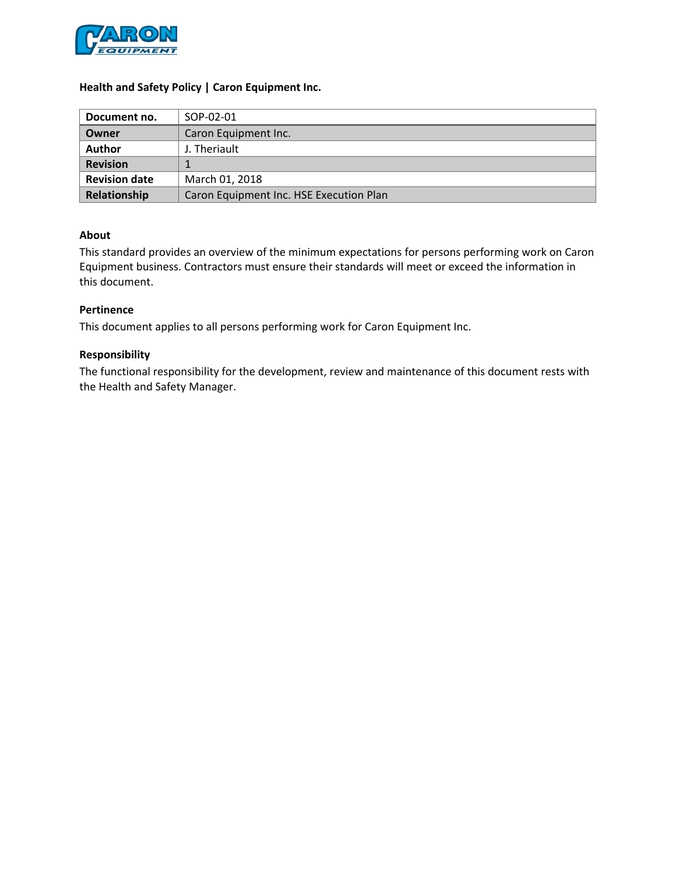

### **Health and Safety Policy | Caron Equipment Inc.**

| Document no.         | SOP-02-01                               |
|----------------------|-----------------------------------------|
| Owner                | Caron Equipment Inc.                    |
| <b>Author</b>        | J. Theriault                            |
| <b>Revision</b>      |                                         |
| <b>Revision date</b> | March 01, 2018                          |
| Relationship         | Caron Equipment Inc. HSE Execution Plan |

#### **About**

This standard provides an overview of the minimum expectations for persons performing work on Caron Equipment business. Contractors must ensure their standards will meet or exceed the information in this document.

### **Pertinence**

This document applies to all persons performing work for Caron Equipment Inc.

#### **Responsibility**

The functional responsibility for the development, review and maintenance of this document rests with the Health and Safety Manager.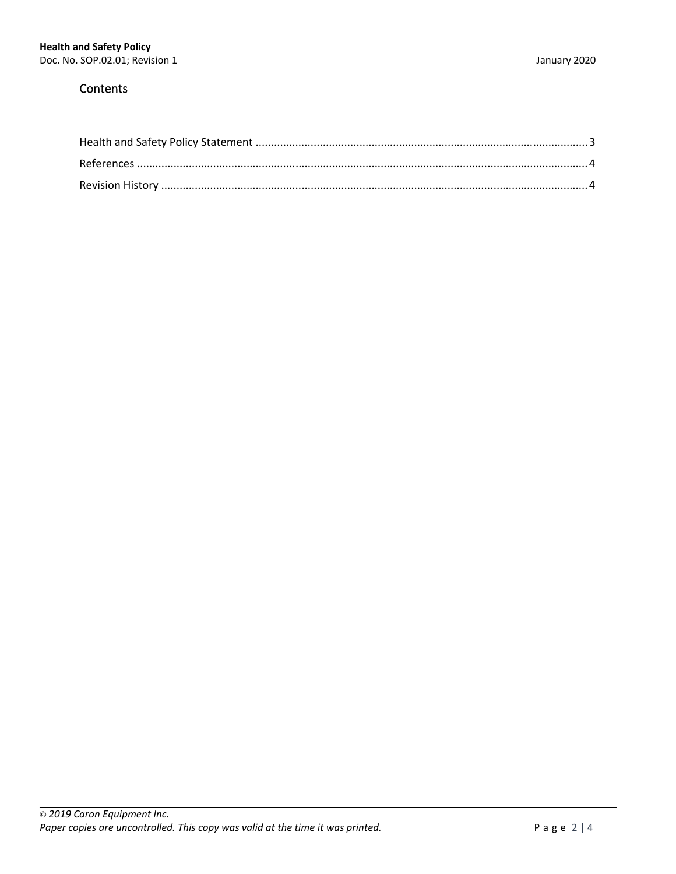### **Contents**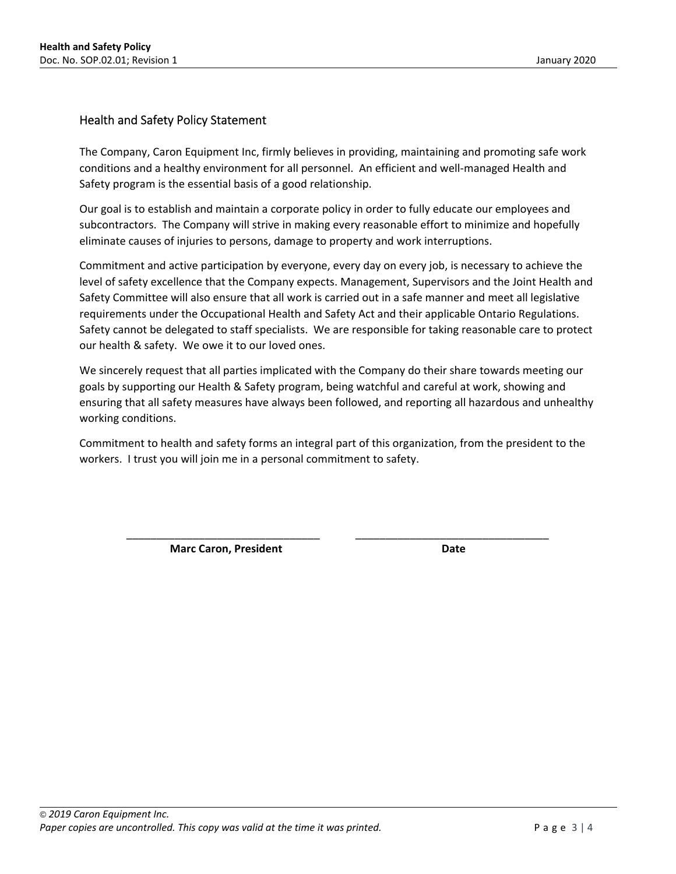### Health and Safety Policy Statement

The Company, Caron Equipment Inc, firmly believes in providing, maintaining and promoting safe work conditions and a healthy environment for all personnel. An efficient and well‐managed Health and Safety program is the essential basis of a good relationship.

Our goal is to establish and maintain a corporate policy in order to fully educate our employees and subcontractors. The Company will strive in making every reasonable effort to minimize and hopefully eliminate causes of injuries to persons, damage to property and work interruptions.

Commitment and active participation by everyone, every day on every job, is necessary to achieve the level of safety excellence that the Company expects. Management, Supervisors and the Joint Health and Safety Committee will also ensure that all work is carried out in a safe manner and meet all legislative requirements under the Occupational Health and Safety Act and their applicable Ontario Regulations. Safety cannot be delegated to staff specialists. We are responsible for taking reasonable care to protect our health & safety. We owe it to our loved ones.

We sincerely request that all parties implicated with the Company do their share towards meeting our goals by supporting our Health & Safety program, being watchful and careful at work, showing and ensuring that all safety measures have always been followed, and reporting all hazardous and unhealthy working conditions.

Commitment to health and safety forms an integral part of this organization, from the president to the workers. I trust you will join me in a personal commitment to safety.

\_\_\_\_\_\_\_\_\_\_\_\_\_\_\_\_\_\_\_\_\_\_\_\_\_\_\_\_\_\_\_\_ \_\_\_\_\_\_\_\_\_\_\_\_\_\_\_\_\_\_\_\_\_\_\_\_\_\_\_\_\_\_\_\_

Marc Caron, President **Caron** Date